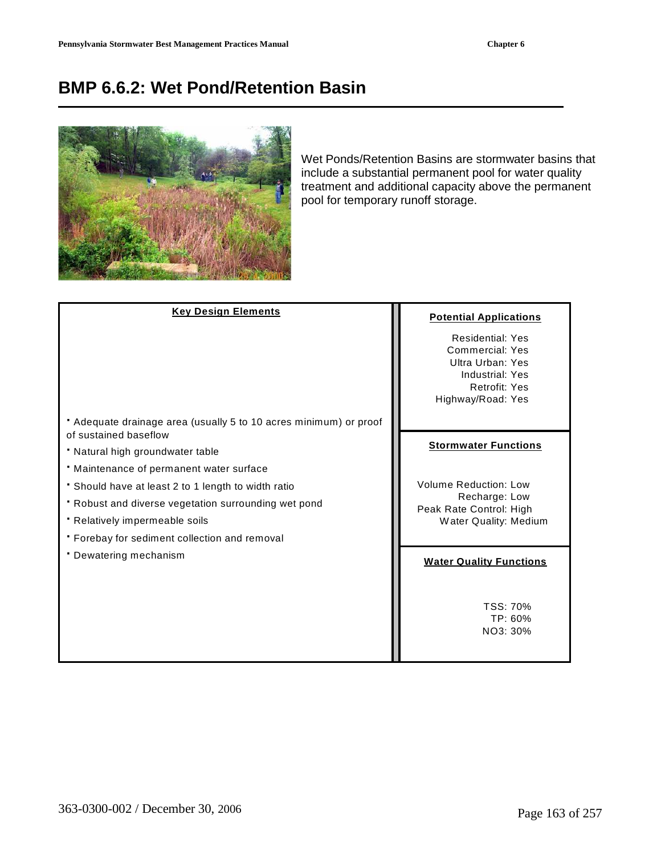# **BMP 6.6.2: Wet Pond/Retention Basin**



Wet Ponds/Retention Basins are stormwater basins that include a substantial permanent pool for water quality treatment and additional capacity above the permanent pool for temporary runoff storage.

| <b>Key Design Elements</b>                                                                 | <b>Potential Applications</b>                                                                                                  |
|--------------------------------------------------------------------------------------------|--------------------------------------------------------------------------------------------------------------------------------|
|                                                                                            | <b>Residential: Yes</b><br><b>Commercial: Yes</b><br>Ultra Urban: Yes<br>Industrial: Yes<br>Retrofit: Yes<br>Highway/Road: Yes |
| • Adequate drainage area (usually 5 to 10 acres minimum) or proof<br>of sustained baseflow |                                                                                                                                |
| • Natural high groundwater table                                                           | <b>Stormwater Functions</b>                                                                                                    |
| • Maintenance of permanent water surface                                                   |                                                                                                                                |
| • Should have at least 2 to 1 length to width ratio                                        | <b>Volume Reduction: Low</b>                                                                                                   |
| • Robust and diverse vegetation surrounding wet pond                                       | Recharge: Low<br>Peak Rate Control: High                                                                                       |
| • Relatively impermeable soils                                                             | Water Quality: Medium                                                                                                          |
| • Forebay for sediment collection and removal                                              |                                                                                                                                |
| • Dewatering mechanism                                                                     | <b>Water Quality Functions</b>                                                                                                 |
|                                                                                            | TSS: 70%<br>TP: 60%<br>NO3: 30%                                                                                                |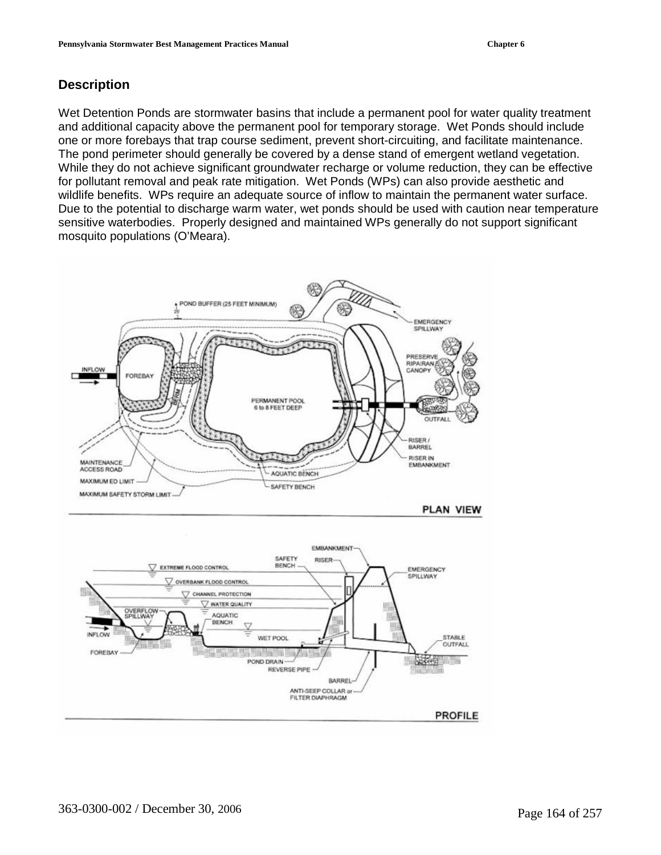# **Description**

Wet Detention Ponds are stormwater basins that include a permanent pool for water quality treatment and additional capacity above the permanent pool for temporary storage. Wet Ponds should include one or more forebays that trap course sediment, prevent short-circuiting, and facilitate maintenance. The pond perimeter should generally be covered by a dense stand of emergent wetland vegetation. While they do not achieve significant groundwater recharge or volume reduction, they can be effective for pollutant removal and peak rate mitigation. Wet Ponds (WPs) can also provide aesthetic and wildlife benefits. WPs require an adequate source of inflow to maintain the permanent water surface. Due to the potential to discharge warm water, wet ponds should be used with caution near temperature sensitive waterbodies. Properly designed and maintained WPs generally do not support significant mosquito populations (O'Meara).

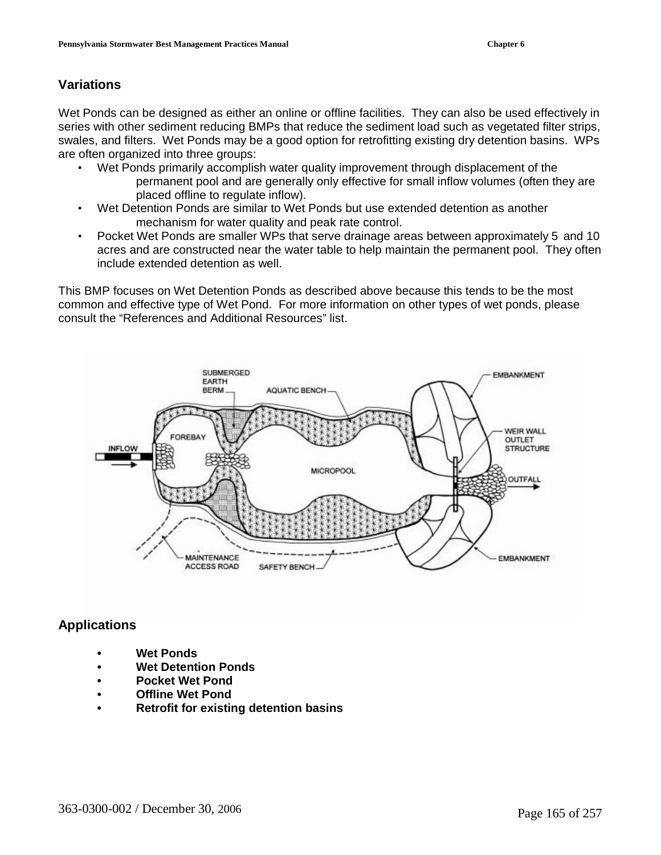# **Variations**

Wet Ponds can be designed as either an online or offline facilities. They can also be used effectively in series with other sediment reducing BMPs that reduce the sediment load such as vegetated filter strips, swales, and filters. Wet Ponds may be a good option for retrofitting existing dry detention basins. WPs are often organized into three groups:

- Wet Ponds primarily accomplish water quality improvement through displacement of the permanent pool and are generally only effective for small inflow volumes (often they are placed offline to regulate inflow).
- Wet Detention Ponds are similar to Wet Ponds but use extended detention as another mechanism for water quality and peak rate control.
- Pocket Wet Ponds are smaller WPs that serve drainage areas between approximately 5 and 10 acres and are constructed near the water table to help maintain the permanent pool. They often include extended detention as well.

This BMP focuses on Wet Detention Ponds as described above because this tends to be the most common and effective type of Wet Pond. For more information on other types of wet ponds, please consult the "References and Additional Resources" list.



## **Applications**

- **Wet Ponds**
- **Wet Detention Ponds**
- **Pocket Wet Pond**
- **Offline Wet Pond**
- **Retrofit for existing detention basins**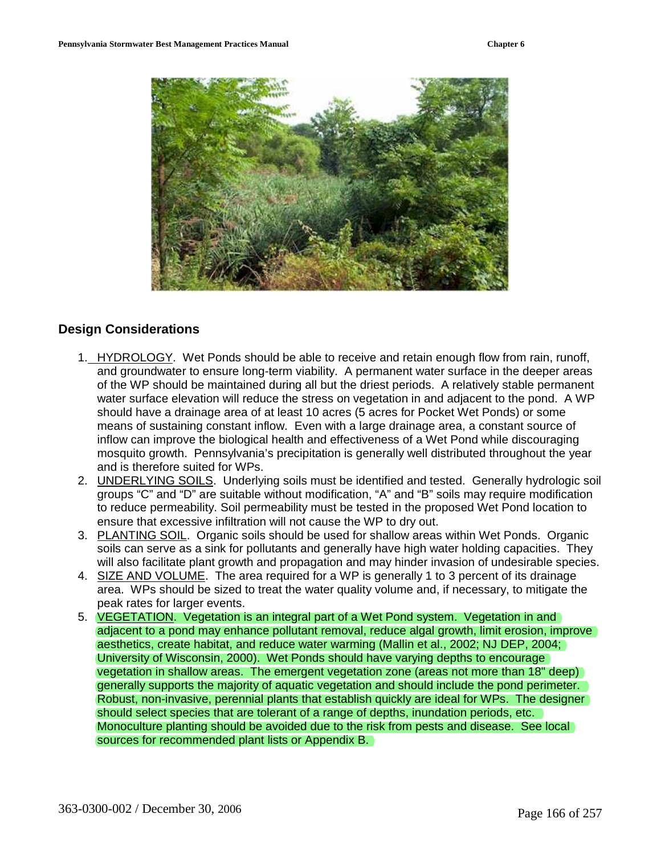

#### **Design Considerations**

- 1. HYDROLOGY. Wet Ponds should be able to receive and retain enough flow from rain, runoff, and groundwater to ensure long-term viability. A permanent water surface in the deeper areas of the WP should be maintained during all but the driest periods. A relatively stable permanent water surface elevation will reduce the stress on vegetation in and adjacent to the pond. A WP should have a drainage area of at least 10 acres (5 acres for Pocket Wet Ponds) or some means of sustaining constant inflow. Even with a large drainage area, a constant source of inflow can improve the biological health and effectiveness of a Wet Pond while discouraging mosquito growth. Pennsylvania's precipitation is generally well distributed throughout the year and is therefore suited for WPs.
- 2. UNDERLYING SOILS. Underlying soils must be identified and tested. Generally hydrologic soil groups "C" and "D" are suitable without modification, "A" and "B" soils may require modification to reduce permeability. Soil permeability must be tested in the proposed Wet Pond location to ensure that excessive infiltration will not cause the WP to dry out.
- 3. PLANTING SOIL. Organic soils should be used for shallow areas within Wet Ponds. Organic soils can serve as a sink for pollutants and generally have high water holding capacities. They will also facilitate plant growth and propagation and may hinder invasion of undesirable species.
- 4. SIZE AND VOLUME. The area required for a WP is generally 1 to 3 percent of its drainage area. WPs should be sized to treat the water quality volume and, if necessary, to mitigate the peak rates for larger events.
- 5. VEGETATION. Vegetation is an integral part of a Wet Pond system. Vegetation in and adjacent to a pond may enhance pollutant removal, reduce algal growth, limit erosion, improve aesthetics, create habitat, and reduce water warming (Mallin et al., 2002; NJ DEP, 2004; University of Wisconsin, 2000). Wet Ponds should have varying depths to encourage vegetation in shallow areas. The emergent vegetation zone (areas not more than 18" deep) generally supports the majority of aquatic vegetation and should include the pond perimeter. Robust, non-invasive, perennial plants that establish quickly are ideal for WPs. The designer should select species that are tolerant of a range of depths, inundation periods, etc. Monoculture planting should be avoided due to the risk from pests and disease. See local sources for recommended plant lists or Appendix B.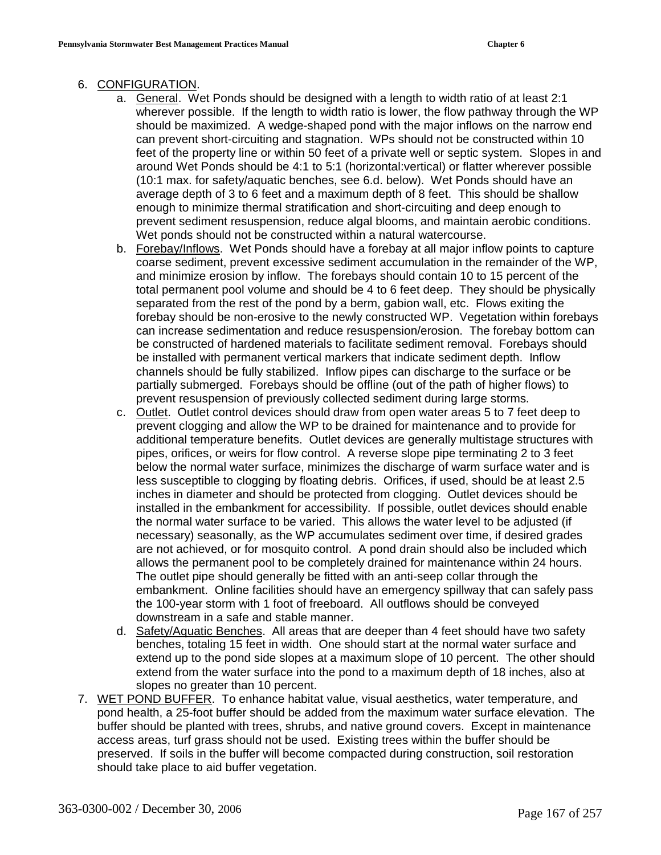#### 6. CONFIGURATION.

- a. General. Wet Ponds should be designed with a length to width ratio of at least 2:1 wherever possible. If the length to width ratio is lower, the flow pathway through the WP should be maximized. A wedge-shaped pond with the major inflows on the narrow end can prevent short-circuiting and stagnation. WPs should not be constructed within 10 feet of the property line or within 50 feet of a private well or septic system. Slopes in and around Wet Ponds should be 4:1 to 5:1 (horizontal:vertical) or flatter wherever possible (10:1 max. for safety/aquatic benches, see 6.d. below). Wet Ponds should have an average depth of 3 to 6 feet and a maximum depth of 8 feet. This should be shallow enough to minimize thermal stratification and short-circuiting and deep enough to prevent sediment resuspension, reduce algal blooms, and maintain aerobic conditions. Wet ponds should not be constructed within a natural watercourse.
- b. Forebay/Inflows. Wet Ponds should have a forebay at all major inflow points to capture coarse sediment, prevent excessive sediment accumulation in the remainder of the WP, and minimize erosion by inflow. The forebays should contain 10 to 15 percent of the total permanent pool volume and should be 4 to 6 feet deep. They should be physically separated from the rest of the pond by a berm, gabion wall, etc. Flows exiting the forebay should be non-erosive to the newly constructed WP. Vegetation within forebays can increase sedimentation and reduce resuspension/erosion. The forebay bottom can be constructed of hardened materials to facilitate sediment removal. Forebays should be installed with permanent vertical markers that indicate sediment depth. Inflow channels should be fully stabilized. Inflow pipes can discharge to the surface or be partially submerged. Forebays should be offline (out of the path of higher flows) to prevent resuspension of previously collected sediment during large storms.
- c. Outlet. Outlet control devices should draw from open water areas 5 to 7 feet deep to prevent clogging and allow the WP to be drained for maintenance and to provide for additional temperature benefits. Outlet devices are generally multistage structures with pipes, orifices, or weirs for flow control. A reverse slope pipe terminating 2 to 3 feet below the normal water surface, minimizes the discharge of warm surface water and is less susceptible to clogging by floating debris. Orifices, if used, should be at least 2.5 inches in diameter and should be protected from clogging. Outlet devices should be installed in the embankment for accessibility. If possible, outlet devices should enable the normal water surface to be varied. This allows the water level to be adjusted (if necessary) seasonally, as the WP accumulates sediment over time, if desired grades are not achieved, or for mosquito control. A pond drain should also be included which allows the permanent pool to be completely drained for maintenance within 24 hours. The outlet pipe should generally be fitted with an anti-seep collar through the embankment. Online facilities should have an emergency spillway that can safely pass the 100-year storm with 1 foot of freeboard. All outflows should be conveyed downstream in a safe and stable manner.
- d. Safety/Aquatic Benches. All areas that are deeper than 4 feet should have two safety benches, totaling 15 feet in width. One should start at the normal water surface and extend up to the pond side slopes at a maximum slope of 10 percent. The other should extend from the water surface into the pond to a maximum depth of 18 inches, also at slopes no greater than 10 percent.
- 7. WET POND BUFFER. To enhance habitat value, visual aesthetics, water temperature, and pond health, a 25-foot buffer should be added from the maximum water surface elevation. The buffer should be planted with trees, shrubs, and native ground covers. Except in maintenance access areas, turf grass should not be used. Existing trees within the buffer should be preserved. If soils in the buffer will become compacted during construction, soil restoration should take place to aid buffer vegetation.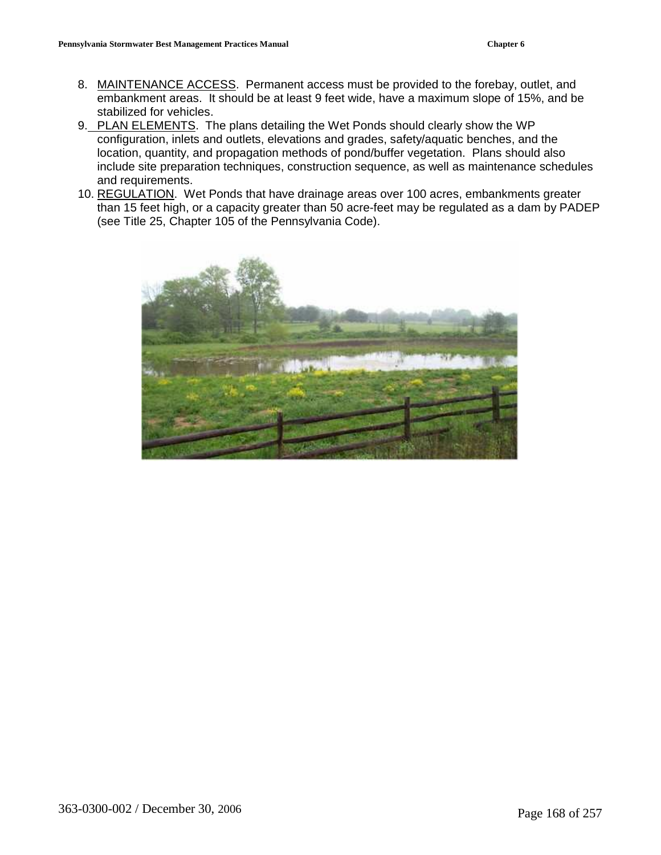- 8. MAINTENANCE ACCESS. Permanent access must be provided to the forebay, outlet, and embankment areas. It should be at least 9 feet wide, have a maximum slope of 15%, and be stabilized for vehicles.
- 9. PLAN ELEMENTS. The plans detailing the Wet Ponds should clearly show the WP configuration, inlets and outlets, elevations and grades, safety/aquatic benches, and the location, quantity, and propagation methods of pond/buffer vegetation. Plans should also include site preparation techniques, construction sequence, as well as maintenance schedules and requirements.
- 10. REGULATION. Wet Ponds that have drainage areas over 100 acres, embankments greater than 15 feet high, or a capacity greater than 50 acre-feet may be regulated as a dam by PADEP (see Title 25, Chapter 105 of the Pennsylvania Code).

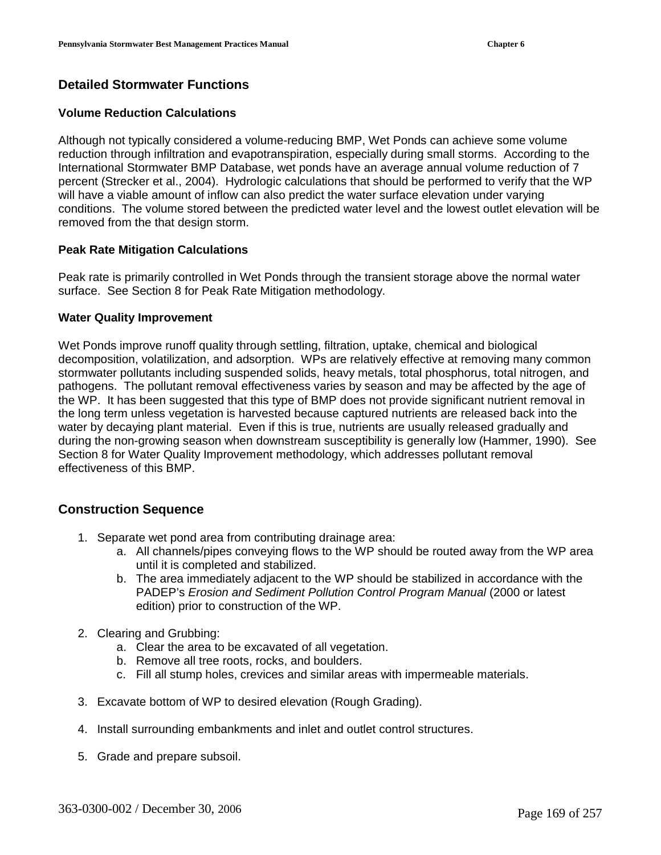## **Detailed Stormwater Functions**

#### **Volume Reduction Calculations**

Although not typically considered a volume-reducing BMP, Wet Ponds can achieve some volume reduction through infiltration and evapotranspiration, especially during small storms. According to the International Stormwater BMP Database, wet ponds have an average annual volume reduction of 7 percent (Strecker et al., 2004). Hydrologic calculations that should be performed to verify that the WP will have a viable amount of inflow can also predict the water surface elevation under varying conditions. The volume stored between the predicted water level and the lowest outlet elevation will be removed from the that design storm.

#### **Peak Rate Mitigation Calculations**

Peak rate is primarily controlled in Wet Ponds through the transient storage above the normal water surface. See Section 8 for Peak Rate Mitigation methodology.

#### **Water Quality Improvement**

Wet Ponds improve runoff quality through settling, filtration, uptake, chemical and biological decomposition, volatilization, and adsorption. WPs are relatively effective at removing many common stormwater pollutants including suspended solids, heavy metals, total phosphorus, total nitrogen, and pathogens. The pollutant removal effectiveness varies by season and may be affected by the age of the WP. It has been suggested that this type of BMP does not provide significant nutrient removal in the long term unless vegetation is harvested because captured nutrients are released back into the water by decaying plant material. Even if this is true, nutrients are usually released gradually and during the non-growing season when downstream susceptibility is generally low (Hammer, 1990). See Section 8 for Water Quality Improvement methodology, which addresses pollutant removal effectiveness of this BMP.

## **Construction Sequence**

- 1. Separate wet pond area from contributing drainage area:
	- a. All channels/pipes conveying flows to the WP should be routed away from the WP area until it is completed and stabilized.
	- b. The area immediately adjacent to the WP should be stabilized in accordance with the PADEP's Erosion and Sediment Pollution Control Program Manual (2000 or latest edition) prior to construction of the WP.
- 2. Clearing and Grubbing:
	- a. Clear the area to be excavated of all vegetation.
	- b. Remove all tree roots, rocks, and boulders.
	- c. Fill all stump holes, crevices and similar areas with impermeable materials.
- 3. Excavate bottom of WP to desired elevation (Rough Grading).
- 4. Install surrounding embankments and inlet and outlet control structures.
- 5. Grade and prepare subsoil.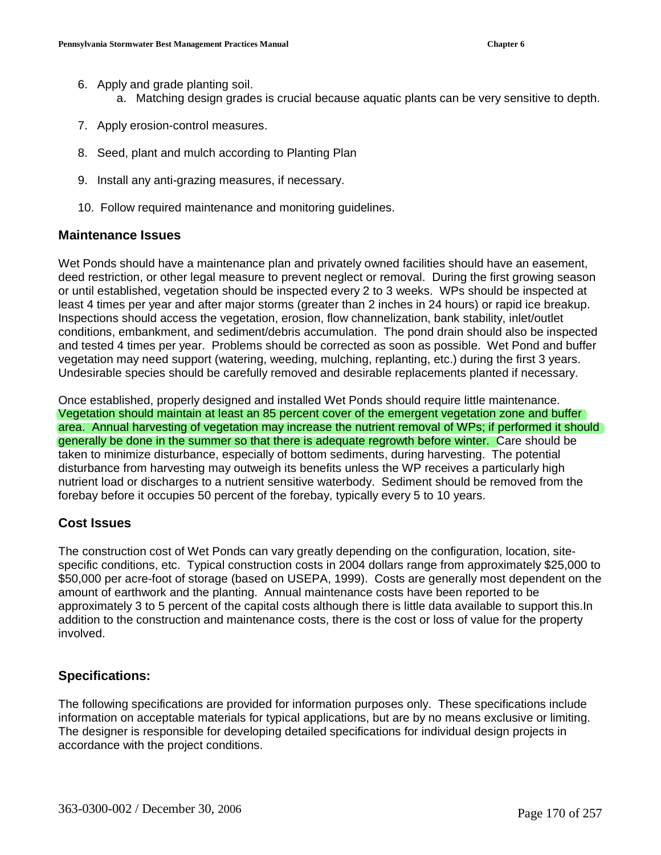- 6. Apply and grade planting soil.
	- a. Matching design grades is crucial because aquatic plants can be very sensitive to depth.
- 7. Apply erosion-control measures.
- 8. Seed, plant and mulch according to Planting Plan
- 9. Install any anti-grazing measures, if necessary.
- 10. Follow required maintenance and monitoring guidelines.

#### **Maintenance Issues**

Wet Ponds should have a maintenance plan and privately owned facilities should have an easement, deed restriction, or other legal measure to prevent neglect or removal. During the first growing season or until established, vegetation should be inspected every 2 to 3 weeks. WPs should be inspected at least 4 times per year and after major storms (greater than 2 inches in 24 hours) or rapid ice breakup. Inspections should access the vegetation, erosion, flow channelization, bank stability, inlet/outlet conditions, embankment, and sediment/debris accumulation. The pond drain should also be inspected and tested 4 times per year. Problems should be corrected as soon as possible. Wet Pond and buffer vegetation may need support (watering, weeding, mulching, replanting, etc.) during the first 3 years. Undesirable species should be carefully removed and desirable replacements planted if necessary.

Once established, properly designed and installed Wet Ponds should require little maintenance. Vegetation should maintain at least an 85 percent cover of the emergent vegetation zone and buffer area. Annual harvesting of vegetation may increase the nutrient removal of WPs; if performed it should generally be done in the summer so that there is adequate regrowth before winter. Care should be taken to minimize disturbance, especially of bottom sediments, during harvesting. The potential disturbance from harvesting may outweigh its benefits unless the WP receives a particularly high nutrient load or discharges to a nutrient sensitive waterbody. Sediment should be removed from the forebay before it occupies 50 percent of the forebay, typically every 5 to 10 years.

#### **Cost Issues**

The construction cost of Wet Ponds can vary greatly depending on the configuration, location, sitespecific conditions, etc. Typical construction costs in 2004 dollars range from approximately \$25,000 to \$50,000 per acre-foot of storage (based on USEPA, 1999). Costs are generally most dependent on the amount of earthwork and the planting. Annual maintenance costs have been reported to be approximately 3 to 5 percent of the capital costs although there is little data available to support this.In addition to the construction and maintenance costs, there is the cost or loss of value for the property involved.

## **Specifications:**

The following specifications are provided for information purposes only. These specifications include information on acceptable materials for typical applications, but are by no means exclusive or limiting. The designer is responsible for developing detailed specifications for individual design projects in accordance with the project conditions.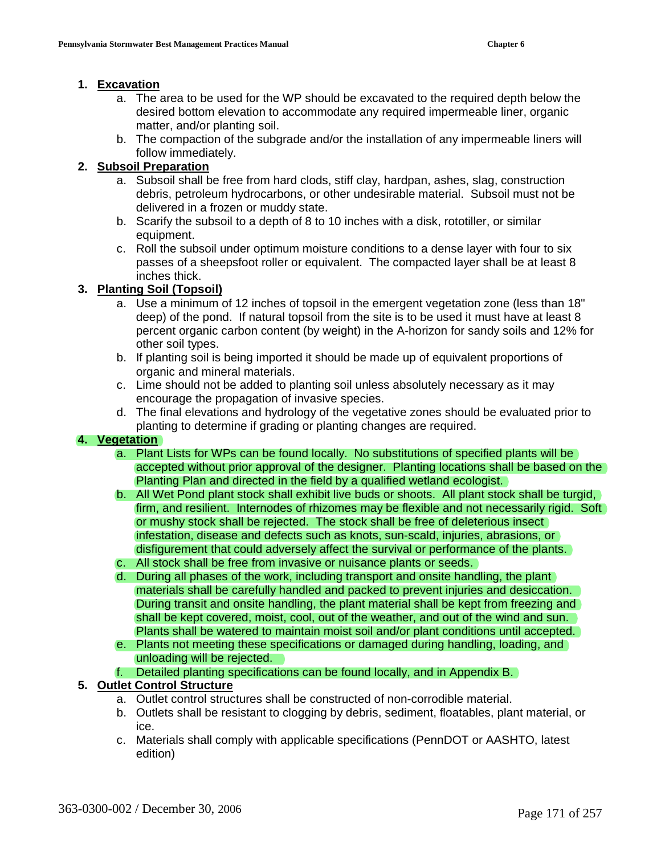#### **1. Excavation**

- a. The area to be used for the WP should be excavated to the required depth below the desired bottom elevation to accommodate any required impermeable liner, organic matter, and/or planting soil.
- b. The compaction of the subgrade and/or the installation of any impermeable liners will follow immediately.

## **2. Subsoil Preparation**

- a. Subsoil shall be free from hard clods, stiff clay, hardpan, ashes, slag, construction debris, petroleum hydrocarbons, or other undesirable material. Subsoil must not be delivered in a frozen or muddy state.
- b. Scarify the subsoil to a depth of 8 to 10 inches with a disk, rototiller, or similar equipment.
- c. Roll the subsoil under optimum moisture conditions to a dense layer with four to six passes of a sheepsfoot roller or equivalent. The compacted layer shall be at least 8 inches thick.

# **3. Planting Soil (Topsoil)**

- a. Use a minimum of 12 inches of topsoil in the emergent vegetation zone (less than 18" deep) of the pond. If natural topsoil from the site is to be used it must have at least 8 percent organic carbon content (by weight) in the A-horizon for sandy soils and 12% for other soil types.
- b. If planting soil is being imported it should be made up of equivalent proportions of organic and mineral materials.
- c. Lime should not be added to planting soil unless absolutely necessary as it may encourage the propagation of invasive species.
- d. The final elevations and hydrology of the vegetative zones should be evaluated prior to planting to determine if grading or planting changes are required.

## **4. Vegetation**

- a. Plant Lists for WPs can be found locally. No substitutions of specified plants will be accepted without prior approval of the designer. Planting locations shall be based on the Planting Plan and directed in the field by a qualified wetland ecologist.
- b. All Wet Pond plant stock shall exhibit live buds or shoots. All plant stock shall be turgid, firm, and resilient. Internodes of rhizomes may be flexible and not necessarily rigid. Soft or mushy stock shall be rejected. The stock shall be free of deleterious insect infestation, disease and defects such as knots, sun-scald, injuries, abrasions, or disfigurement that could adversely affect the survival or performance of the plants. c. All stock shall be free from invasive or nuisance plants or seeds.
- d. During all phases of the work, including transport and onsite handling, the plant materials shall be carefully handled and packed to prevent injuries and desiccation. During transit and onsite handling, the plant material shall be kept from freezing and shall be kept covered, moist, cool, out of the weather, and out of the wind and sun. Plants shall be watered to maintain moist soil and/or plant conditions until accepted.
- e. Plants not meeting these specifications or damaged during handling, loading, and unloading will be rejected.
- f. Detailed planting specifications can be found locally, and in Appendix B.

## **5. Outlet Control Structure**

- a. Outlet control structures shall be constructed of non-corrodible material.
- b. Outlets shall be resistant to clogging by debris, sediment, floatables, plant material, or ice.
- c. Materials shall comply with applicable specifications (PennDOT or AASHTO, latest edition)